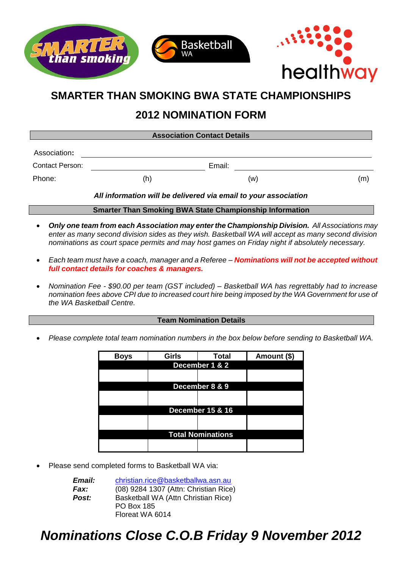

## **2012 NOMINATION FORM**

| <b>Association Contact Details</b>                              |     |        |     |
|-----------------------------------------------------------------|-----|--------|-----|
| Association:                                                    |     |        |     |
| Contact Person:                                                 |     | Email: |     |
| Phone:                                                          | (h) | (w)    | (m) |
| All information will be delivered via email to your association |     |        |     |

**Smarter Than Smoking BWA State Championship Information**

- *Only one team from each Association may enter the Championship Division. All Associations may enter as many second division sides as they wish. Basketball WA will accept as many second division nominations as court space permits and may host games on Friday night if absolutely necessary.*
- *Each team must have a coach, manager and a Referee – Nominations will not be accepted without full contact details for coaches & managers.*
- *Nomination Fee - \$90.00 per team (GST included) – Basketball WA has regrettably had to increase nomination fees above CPI due to increased court hire being imposed by the WA Government for use of the WA Basketball Centre.*

#### **Team Nomination Details**

*Please complete total team nomination numbers in the box below before sending to Basketball WA.* 

| <b>Boys</b>              | <b>Girls</b>   | <b>Total</b>                | Amount (\$) |  |
|--------------------------|----------------|-----------------------------|-------------|--|
|                          | December 1 & 2 |                             |             |  |
|                          |                |                             |             |  |
|                          |                | December 8 & 9              |             |  |
|                          |                |                             |             |  |
|                          |                |                             |             |  |
|                          |                | <b>December 15 &amp; 16</b> |             |  |
|                          |                |                             |             |  |
| <b>Total Nominations</b> |                |                             |             |  |
|                          |                |                             |             |  |
|                          |                |                             |             |  |

Please send completed forms to Basketball WA via:

| <i><b>Email:</b></i> | christian.rice@basketballwa.asn.au    |  |  |
|----------------------|---------------------------------------|--|--|
| Fax:                 | (08) 9284 1307 (Attn: Christian Rice) |  |  |
| Post:                | Basketball WA (Attn Christian Rice)   |  |  |
|                      | <b>PO Box 185</b>                     |  |  |
|                      | Floreat WA 6014                       |  |  |

# *Nominations Close C.O.B Friday 9 November 2012*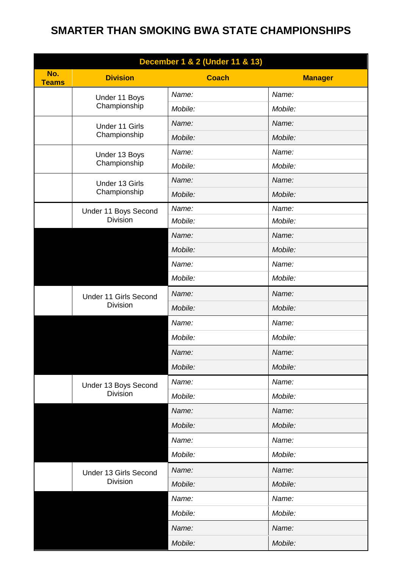| December 1 & 2 (Under 11 & 13) |                                          |              |                      |
|--------------------------------|------------------------------------------|--------------|----------------------|
| No.<br><b>Teams</b>            | <b>Division</b>                          | <b>Coach</b> | 10<br><b>Manager</b> |
|                                | Under 11 Boys<br>Championship            | Name:        | Name:                |
|                                |                                          | Mobile:      | Mobile:              |
|                                | Under 11 Girls<br>Championship           | Name:        | Name:                |
|                                |                                          | Mobile:      | Mobile:              |
|                                | Under 13 Boys<br>Championship            | Name:        | Name:                |
|                                |                                          | Mobile:      | Mobile:              |
|                                | Under 13 Girls                           | Name:        | Name:                |
|                                | Championship                             | Mobile:      | Mobile:              |
|                                | Under 11 Boys Second                     | Name:        | Name:                |
|                                | <b>Division</b>                          | Mobile:      | Mobile:              |
|                                |                                          | Name:        | Name:                |
|                                |                                          | Mobile:      | Mobile:              |
|                                |                                          | Name:        | Name:                |
|                                |                                          | Mobile:      | Mobile:              |
|                                | Under 11 Girls Second                    | Name:        | Name:                |
|                                | <b>Division</b>                          | Mobile:      | Mobile:              |
|                                |                                          | Name:        | Name:                |
|                                |                                          | Mobile:      | Mobile:              |
|                                |                                          | Name:        | Name:                |
|                                |                                          | Mobile:      | Mobile:              |
|                                | Under 13 Boys Second<br><b>Division</b>  | Name:        | Name:                |
|                                |                                          | Mobile:      | Mobile:              |
|                                |                                          | Name:        | Name:                |
|                                |                                          | Mobile:      | Mobile:              |
|                                |                                          | Name:        | Name:                |
|                                |                                          | Mobile:      | Mobile:              |
|                                | Under 13 Girls Second<br><b>Division</b> | Name:        | Name:                |
|                                |                                          | Mobile:      | Mobile:              |
|                                |                                          | Name:        | Name:                |
|                                |                                          | Mobile:      | Mobile:              |
|                                |                                          | Name:        | Name:                |
|                                |                                          | Mobile:      | Mobile:              |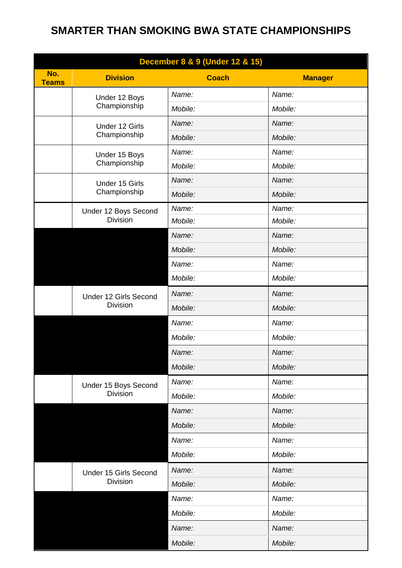| December 8 & 9 (Under 12 & 15) |                                          |              |                      |
|--------------------------------|------------------------------------------|--------------|----------------------|
| No.<br><b>Teams</b>            | <b>Division</b>                          | <b>Coach</b> | 11<br><b>Manager</b> |
|                                | Under 12 Boys<br>Championship            | Name:        | Name:                |
|                                |                                          | Mobile:      | Mobile:              |
|                                | Under 12 Girls<br>Championship           | Name:        | Name:                |
|                                |                                          | Mobile:      | Mobile:              |
|                                | Under 15 Boys<br>Championship            | Name:        | Name:                |
|                                |                                          | Mobile:      | Mobile:              |
|                                | Under 15 Girls                           | Name:        | Name:                |
|                                | Championship                             | Mobile:      | Mobile:              |
|                                | Under 12 Boys Second                     | Name:        | Name:                |
|                                | <b>Division</b>                          | Mobile:      | Mobile:              |
|                                |                                          | Name:        | Name:                |
|                                |                                          | Mobile:      | Mobile:              |
|                                |                                          | Name:        | Name:                |
|                                |                                          | Mobile:      | Mobile:              |
|                                | Under 12 Girls Second                    | Name:        | Name:                |
|                                | <b>Division</b>                          | Mobile:      | Mobile:              |
|                                |                                          | Name:        | Name:                |
|                                |                                          | Mobile:      | Mobile:              |
|                                |                                          | Name:        | Name:                |
|                                |                                          | Mobile:      | Mobile:              |
|                                | Under 15 Boys Second<br><b>Division</b>  | Name:        | Name:                |
|                                |                                          | Mobile:      | Mobile:              |
|                                |                                          | Name:        | Name:                |
|                                |                                          | Mobile:      | Mobile:              |
|                                |                                          | Name:        | Name:                |
|                                |                                          | Mobile:      | Mobile:              |
|                                | Under 15 Girls Second<br><b>Division</b> | Name:        | Name:                |
|                                |                                          | Mobile:      | Mobile:              |
|                                |                                          | Name:        | Name:                |
|                                |                                          | Mobile:      | Mobile:              |
|                                |                                          | Name:        | Name:                |
|                                |                                          | Mobile:      | Mobile:              |